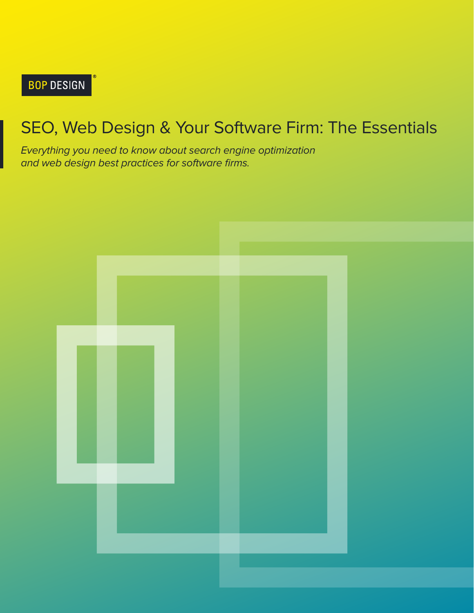# SEO, Web Design & Your Software Firm: The Essentials

Everything you need to know about search engine optimization and web design best practices for software firms.

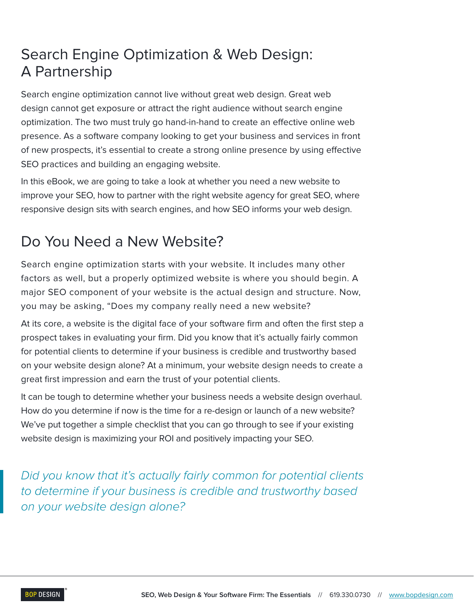# Search Engine Optimization & Web Design: A Partnership

Search engine optimization cannot live without great web design. Great web design cannot get exposure or attract the right audience without search engine optimization. The two must truly go hand-in-hand to create an effective online web presence. As a software company looking to get your business and services in front of new prospects, it's essential to create a strong online presence by using effective SEO practices and building an engaging website.

In this eBook, we are going to take a look at whether you need a new website to improve your SEO, how to partner with the right website agency for great SEO, where responsive design sits with search engines, and how SEO informs your web design.

# Do You Need a New Website?

Search engine optimization starts with your website. It includes many other factors as well, but a properly optimized website is where you should begin. A major SEO component of your website is the actual design and structure. Now, you may be asking, "Does my company really need a new website?

At its core, a website is the digital face of your software firm and often the first step a prospect takes in evaluating your firm. Did you know that it's actually fairly common for potential clients to determine if your business is credible and trustworthy based on your website design alone? At a minimum, your website design needs to create a great first impression and earn the trust of your potential clients.

It can be tough to determine whether your business needs a website design overhaul. How do you determine if now is the time for a re-design or launch of a new website? We've put together a simple checklist that you can go through to see if your existing website design is maximizing your ROI and positively impacting your SEO.

Did you know that it's actually fairly common for potential clients to determine if your business is credible and trustworthy based on your website design alone?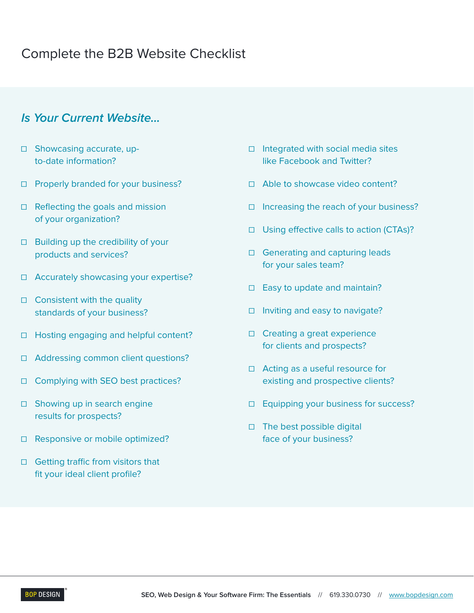# Complete the B2B Website Checklist

## **Is Your Current Website...**

- □ Showcasing accurate, upto-date information?
- ☐ Properly branded for your business?
- □ Reflecting the goals and mission of your organization?
- ☐ Building up the credibility of your products and services?
- ☐ Accurately showcasing your expertise?
- ☐ Consistent with the quality standards of your business?
- ☐ Hosting engaging and helpful content?
- ☐ Addressing common client questions?
- ☐ Complying with SEO best practices?
- □ Showing up in search engine results for prospects?
- ☐ Responsive or mobile optimized?
- □ Getting traffic from visitors that fit your ideal client profile?
- ☐ Integrated with social media sites like Facebook and Twitter?
- ☐ Able to showcase video content?
- ☐ Increasing the reach of your business?
- ☐ Using effective calls to action (CTAs)?
- □ Generating and capturing leads for your sales team?
- □ Easy to update and maintain?
- □ Inviting and easy to navigate?
- ☐ Creating a great experience for clients and prospects?
- ☐ Acting as a useful resource for existing and prospective clients?
- ☐ Equipping your business for success?
- ☐ The best possible digital face of your business?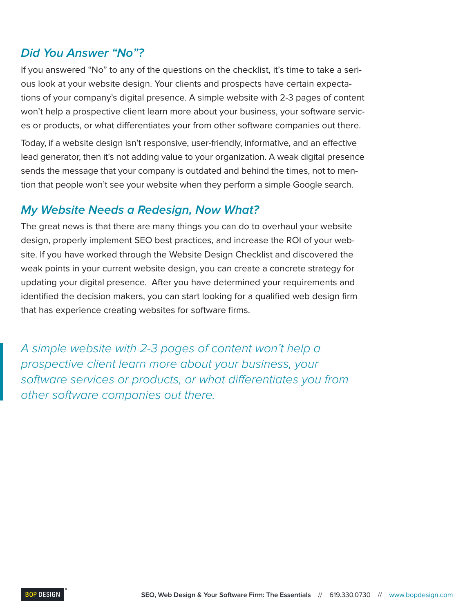## **Did You Answer "No"?**

If you answered "No" to any of the questions on the checklist, it's time to take a serious look at your website design. Your clients and prospects have certain expectations of your company's digital presence. A simple website with 2-3 pages of content won't help a prospective client learn more about your business, your software services or products, or what differentiates your from other software companies out there.

Today, if a website design isn't responsive, user-friendly, informative, and an effective lead generator, then it's not adding value to your organization. A weak digital presence sends the message that your company is outdated and behind the times, not to mention that people won't see your website when they perform a simple Google search.

## **My Website Needs a Redesign, Now What?**

The great news is that there are many things you can do to overhaul your website design, properly implement SEO best practices, and increase the ROI of your website. If you have worked through the Website Design Checklist and discovered the weak points in your current website design, you can create a concrete strategy for updating your digital presence. After you have determined your requirements and identified the decision makers, you can start looking for a qualified web design firm that has experience creating websites for software firms.

A simple website with 2-3 pages of content won't help a prospective client learn more about your business, your software services or products, or what differentiates you from other software companies out there.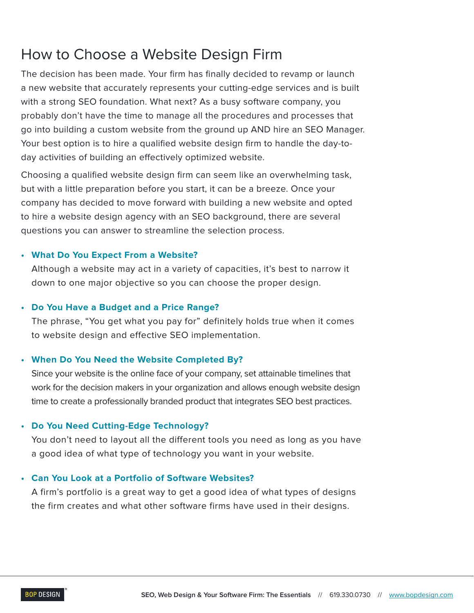# How to Choose a Website Design Firm

The decision has been made. Your firm has finally decided to revamp or launch a new website that accurately represents your cutting-edge services and is built with a strong SEO foundation. What next? As a busy software company, you probably don't have the time to manage all the procedures and processes that go into building a custom website from the ground up AND hire an SEO Manager. Your best option is to hire a qualified website design firm to handle the day-today activities of building an effectively optimized website.

Choosing a qualified website design firm can seem like an overwhelming task, but with a little preparation before you start, it can be a breeze. Once your company has decided to move forward with building a new website and opted to hire a website design agency with an SEO background, there are several questions you can answer to streamline the selection process.

#### **• What Do You Expect From a Website?**

Although a website may act in a variety of capacities, it's best to narrow it down to one major objective so you can choose the proper design.

#### **• Do You Have a Budget and a Price Range?**

The phrase, "You get what you pay for" definitely holds true when it comes to website design and effective SEO implementation.

### **• When Do You Need the Website Completed By?**

Since your website is the online face of your company, set attainable timelines that work for the decision makers in your organization and allows enough website design time to create a professionally branded product that integrates SEO best practices.

#### **• Do You Need Cutting-Edge Technology?**

You don't need to layout all the different tools you need as long as you have a good idea of what type of technology you want in your website.

#### **• Can You Look at a Portfolio of Software Websites?**

A firm's portfolio is a great way to get a good idea of what types of designs the firm creates and what other software firms have used in their designs.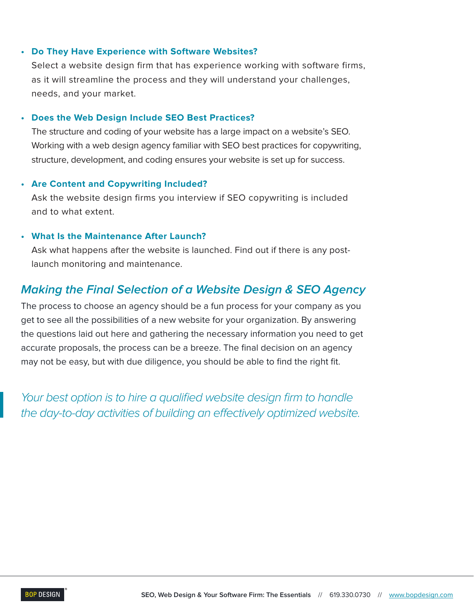#### **• Do They Have Experience with Software Websites?**

Select a website design firm that has experience working with software firms, as it will streamline the process and they will understand your challenges, needs, and your market.

#### **• Does the Web Design Include SEO Best Practices?**

The structure and coding of your website has a large impact on a website's SEO. Working with a web design agency familiar with SEO best practices for copywriting, structure, development, and coding ensures your website is set up for success.

#### **• Are Content and Copywriting Included?**

Ask the website design firms you interview if SEO copywriting is included and to what extent.

### **• What Is the Maintenance After Launch?**

Ask what happens after the website is launched. Find out if there is any postlaunch monitoring and maintenance.

### **Making the Final Selection of a Website Design & SEO Agency**

The process to choose an agency should be a fun process for your company as you get to see all the possibilities of a new website for your organization. By answering the questions laid out here and gathering the necessary information you need to get accurate proposals, the process can be a breeze. The final decision on an agency may not be easy, but with due diligence, you should be able to find the right fit.

Your best option is to hire a qualified website design firm to handle the day-to-day activities of building an effectively optimized website.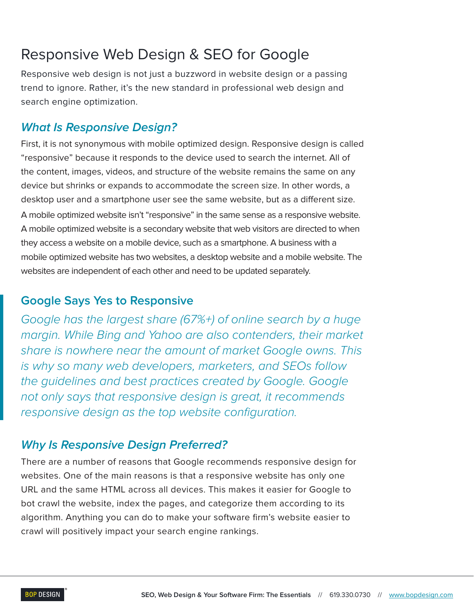# Responsive Web Design & SEO for Google

Responsive web design is not just a buzzword in website design or a passing trend to ignore. Rather, it's the new standard in professional web design and search engine optimization.

## **What Is Responsive Design?**

First, it is not synonymous with mobile optimized design. Responsive design is called "responsive" because it responds to the device used to search the internet. All of the content, images, videos, and structure of the website remains the same on any device but shrinks or expands to accommodate the screen size. In other words, a desktop user and a smartphone user see the same website, but as a different size. A mobile optimized website isn't "responsive" in the same sense as a responsive website. A mobile optimized website is a secondary website that web visitors are directed to when they access a website on a mobile device, such as a smartphone. A business with a mobile optimized website has two websites, a desktop website and a mobile website. The websites are independent of each other and need to be updated separately.

## **Google Says Yes to Responsive**

Google has the largest share (67%+) of online search by a huge margin. While Bing and Yahoo are also contenders, their market share is nowhere near the amount of market Google owns. This is why so many web developers, marketers, and SEOs follow the guidelines and best practices created by Google. Google not only says that responsive design is great, it recommends responsive design as the top website configuration.

# **Why Is Responsive Design Preferred?**

There are a number of reasons that Google recommends responsive design for websites. One of the main reasons is that a responsive website has only one URL and the same HTML across all devices. This makes it easier for Google to bot crawl the website, index the pages, and categorize them according to its algorithm. Anything you can do to make your software firm's website easier to crawl will positively impact your search engine rankings.

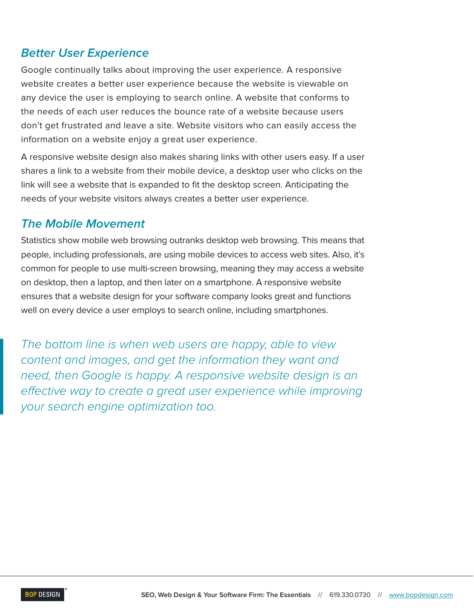## **Better User Experience**

Google continually talks about improving the user experience. A responsive website creates a better user experience because the website is viewable on any device the user is employing to search online. A website that conforms to the needs of each user reduces the bounce rate of a website because users don't get frustrated and leave a site. Website visitors who can easily access the information on a website enjoy a great user experience.

A responsive website design also makes sharing links with other users easy. If a user shares a link to a website from their mobile device, a desktop user who clicks on the link will see a website that is expanded to fit the desktop screen. Anticipating the needs of your website visitors always creates a better user experience.

## **The Mobile Movement**

Statistics show mobile web browsing outranks desktop web browsing. This means that people, including professionals, are using mobile devices to access web sites. Also, it's common for people to use multi-screen browsing, meaning they may access a website on desktop, then a laptop, and then later on a smartphone. A responsive website ensures that a website design for your software company looks great and functions well on every device a user employs to search online, including smartphones.

The bottom line is when web users are happy, able to view content and images, and get the information they want and need, then Google is happy. A responsive website design is an effective way to create a great user experience while improving your search engine optimization too.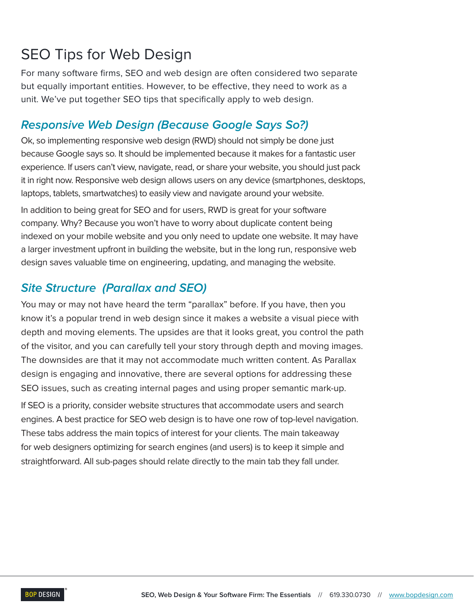# SEO Tips for Web Design

For many software firms, SEO and web design are often considered two separate but equally important entities. However, to be effective, they need to work as a unit. We've put together SEO tips that specifically apply to web design.

## **Responsive Web Design (Because Google Says So?)**

Ok, so implementing responsive web design (RWD) should not simply be done just because Google says so. It should be implemented because it makes for a fantastic user experience. If users can't view, navigate, read, or share your website, you should just pack it in right now. Responsive web design allows users on any device (smartphones, desktops, laptops, tablets, smartwatches) to easily view and navigate around your website.

In addition to being great for SEO and for users, RWD is great for your software company. Why? Because you won't have to worry about duplicate content being indexed on your mobile website and you only need to update one website. It may have a larger investment upfront in building the website, but in the long run, responsive web design saves valuable time on engineering, updating, and managing the website.

## **Site Structure (Parallax and SEO)**

You may or may not have heard the term "parallax" before. If you have, then you know it's a popular trend in web design since it makes a website a visual piece with depth and moving elements. The upsides are that it looks great, you control the path of the visitor, and you can carefully tell your story through depth and moving images. The downsides are that it may not accommodate much written content. As Parallax design is engaging and innovative, there are several options for addressing these SEO issues, such as creating internal pages and using proper semantic mark-up.

If SEO is a priority, consider website structures that accommodate users and search engines. A best practice for SEO web design is to have one row of top-level navigation. These tabs address the main topics of interest for your clients. The main takeaway for web designers optimizing for search engines (and users) is to keep it simple and straightforward. All sub-pages should relate directly to the main tab they fall under.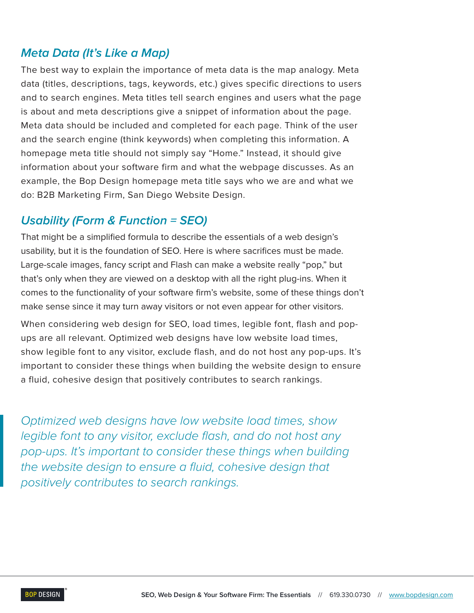## **Meta Data (It's Like a Map)**

The best way to explain the importance of meta data is the map analogy. Meta data (titles, descriptions, tags, keywords, etc.) gives specific directions to users and to search engines. Meta titles tell search engines and users what the page is about and meta descriptions give a snippet of information about the page. Meta data should be included and completed for each page. Think of the user and the search engine (think keywords) when completing this information. A homepage meta title should not simply say "Home." Instead, it should give information about your software firm and what the webpage discusses. As an example, the Bop Design homepage meta title says who we are and what we do: B2B Marketing Firm, San Diego Website Design.

# **Usability (Form & Function = SEO)**

That might be a simplified formula to describe the essentials of a web design's usability, but it is the foundation of SEO. Here is where sacrifices must be made. Large-scale images, fancy script and Flash can make a website really "pop," but that's only when they are viewed on a desktop with all the right plug-ins. When it comes to the functionality of your software firm's website, some of these things don't make sense since it may turn away visitors or not even appear for other visitors.

When considering web design for SEO, load times, legible font, flash and popups are all relevant. Optimized web designs have low website load times, show legible font to any visitor, exclude flash, and do not host any pop-ups. It's important to consider these things when building the website design to ensure a fluid, cohesive design that positively contributes to search rankings.

Optimized web designs have low website load times, show legible font to any visitor, exclude flash, and do not host any pop-ups. It's important to consider these things when building the website design to ensure a fluid, cohesive design that positively contributes to search rankings.